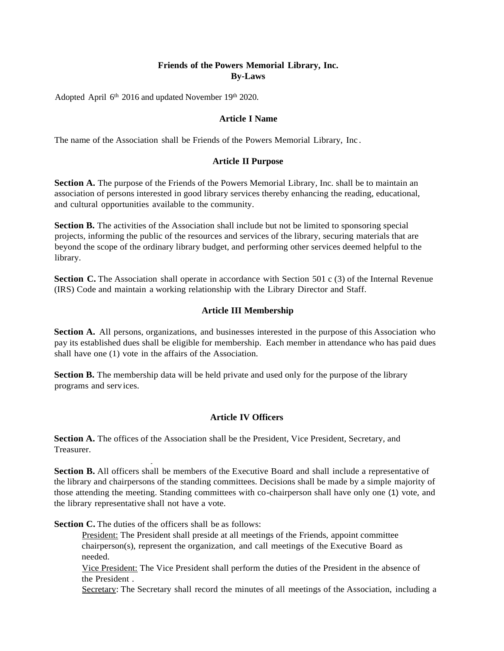# **Friends of the Powers Memorial Library, Inc. By-Laws**

Adopted April 6<sup>th</sup> 2016 and updated November 19<sup>th</sup> 2020.

### **Article I Name**

The name of the Association shall be Friends of the Powers Memorial Library, Inc .

# **Article II Purpose**

**Section A.** The purpose of the Friends of the Powers Memorial Library, Inc. shall be to maintain an association of persons interested in good library services thereby enhancing the reading, educational, and cultural opportunities available to the community.

**Section B.** The activities of the Association shall include but not be limited to sponsoring special projects, informing the public of the resources and services of the library, securing materials that are beyond the scope of the ordinary library budget, and performing other services deemed helpful to the library.

**Section C.** The Association shall operate in accordance with Section 501 c (3) of the Internal Revenue (IRS) Code and maintain a working relationship with the Library Director and Staff.

# **Article III Membership**

**Section A.** All persons, organizations, and businesses interested in the purpose of this Association who pay its established dues shall be eligible for membership. Each member in attendance who has paid dues shall have one (1) vote in the affairs of the Association.

**Section B.** The membership data will be held private and used only for the purpose of the library programs and serv ices.

### **Article IV Officers**

**Section A.** The offices of the Association shall be the President, Vice President, Secretary, and Treasurer.

- **Section B.** All officers shall be members of the Executive Board and shall include a representative of the library and chairpersons of the standing committees. Decisions shall be made by a simple majority of those attending the meeting. Standing committees with co-chairperson shall have only one (1) vote, and the library representative shall not have a vote.

**Section C.** The duties of the officers shall be as follows:

President: The President shall preside at all meetings of the Friends, appoint committee chairperson(s), represent the organization, and call meetings of the Executive Board as needed.

Vice President: The Vice President shall perform the duties of the President in the absence of the President .

Secretary: The Secretary shall record the minutes of all meetings of the Association, including a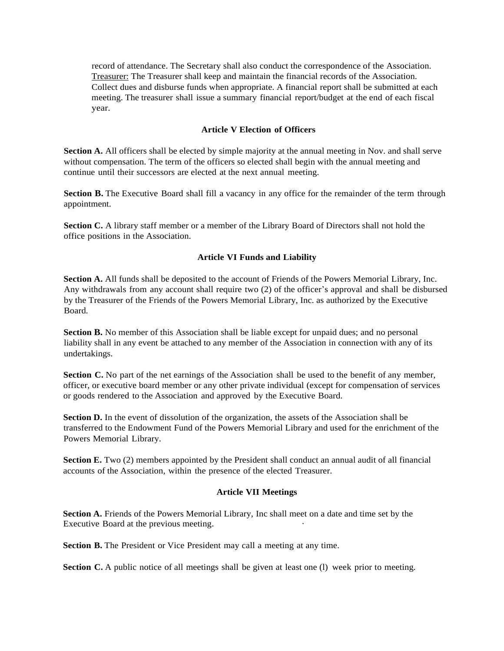record of attendance. The Secretary shall also conduct the correspondence of the Association. Treasurer: The Treasurer shall keep and maintain the financial records of the Association. Collect dues and disburse funds when appropriate. A financial report shall be submitted at each meeting. The treasurer shall issue a summary financial report/budget at the end of each fiscal year.

### **Article V Election of Officers**

**Section A.** All officers shall be elected by simple majority at the annual meeting in Nov. and shall serve without compensation. The term of the officers so elected shall begin with the annual meeting and continue until their successors are elected at the next annual meeting.

**Section B.** The Executive Board shall fill a vacancy in any office for the remainder of the term through appointment.

**Section C.** A library staff member or a member of the Library Board of Directors shall not hold the office positions in the Association.

#### **Article VI Funds and Liability**

**Section A.** All funds shall be deposited to the account of Friends of the Powers Memorial Library, Inc. Any withdrawals from any account shall require two (2) of the officer's approval and shall be disbursed by the Treasurer of the Friends of the Powers Memorial Library, Inc. as authorized by the Executive Board.

**Section B.** No member of this Association shall be liable except for unpaid dues; and no personal liability shall in any event be attached to any member of the Association in connection with any of its undertakings.

**Section C.** No part of the net earnings of the Association shall be used to the benefit of any member, officer, or executive board member or any other private individual (except for compensation of services or goods rendered to the Association and approved by the Executive Board.

**Section D.** In the event of dissolution of the organization, the assets of the Association shall be transferred to the Endowment Fund of the Powers Memorial Library and used for the enrichment of the Powers Memorial Library.

**Section E.** Two (2) members appointed by the President shall conduct an annual audit of all financial accounts of the Association, within the presence of the elected Treasurer.

#### **Article VII Meetings**

**Section A.** Friends of the Powers Memorial Library, Inc shall meet on a date and time set by the Executive Board at the previous meeting.

**Section B.** The President or Vice President may call a meeting at any time.

**Section C.** A public notice of all meetings shall be given at least one (1) week prior to meeting.